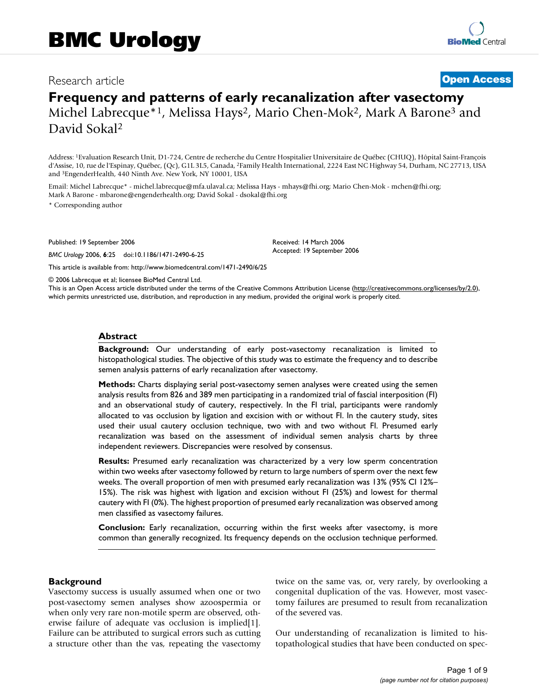# Research article **[Open Access](http://www.biomedcentral.com/info/about/charter/)**

# **Frequency and patterns of early recanalization after vasectomy** Michel Labrecque<sup>\*1</sup>, Melissa Hays<sup>2</sup>, Mario Chen-Mok<sup>2</sup>, Mark A Barone<sup>3</sup> and

David Sokal2

Address: 1Evaluation Research Unit, D1-724, Centre de recherche du Centre Hospitalier Universitaire de Québec (CHUQ), Hôpital Saint-François d'Assise, 10, rue de l'Espinay, Québec, (Qc), G1L 3L5, Canada, 2Family Health International, 2224 East NC Highway 54, Durham, NC 27713, USA and 3EngenderHealth, 440 Ninth Ave. New York, NY 10001, USA

Email: Michel Labrecque\* - michel.labrecque@mfa.ulaval.ca; Melissa Hays - mhays@fhi.org; Mario Chen-Mok - mchen@fhi.org; Mark A Barone - mbarone@engenderhealth.org; David Sokal - dsokal@fhi.org

\* Corresponding author

Published: 19 September 2006

*BMC Urology* 2006, **6**:25 doi:10.1186/1471-2490-6-25

[This article is available from: http://www.biomedcentral.com/1471-2490/6/25](http://www.biomedcentral.com/1471-2490/6/25)

© 2006 Labrecque et al; licensee BioMed Central Ltd. This is an Open Access article distributed under the terms of the Creative Commons Attribution License [\(http://creativecommons.org/licenses/by/2.0\)](http://creativecommons.org/licenses/by/2.0), which permits unrestricted use, distribution, and reproduction in any medium, provided the original work is properly cited.

Received: 14 March 2006 Accepted: 19 September 2006

#### **Abstract**

**Background:** Our understanding of early post-vasectomy recanalization is limited to histopathological studies. The objective of this study was to estimate the frequency and to describe semen analysis patterns of early recanalization after vasectomy.

**Methods:** Charts displaying serial post-vasectomy semen analyses were created using the semen analysis results from 826 and 389 men participating in a randomized trial of fascial interposition (FI) and an observational study of cautery, respectively. In the FI trial, participants were randomly allocated to vas occlusion by ligation and excision with or without FI. In the cautery study, sites used their usual cautery occlusion technique, two with and two without FI. Presumed early recanalization was based on the assessment of individual semen analysis charts by three independent reviewers. Discrepancies were resolved by consensus.

**Results:** Presumed early recanalization was characterized by a very low sperm concentration within two weeks after vasectomy followed by return to large numbers of sperm over the next few weeks. The overall proportion of men with presumed early recanalization was 13% (95% CI 12%– 15%). The risk was highest with ligation and excision without FI (25%) and lowest for thermal cautery with FI (0%). The highest proportion of presumed early recanalization was observed among men classified as vasectomy failures.

**Conclusion:** Early recanalization, occurring within the first weeks after vasectomy, is more common than generally recognized. Its frequency depends on the occlusion technique performed.

#### **Background**

Vasectomy success is usually assumed when one or two post-vasectomy semen analyses show azoospermia or when only very rare non-motile sperm are observed, otherwise failure of adequate vas occlusion is implied[1]. Failure can be attributed to surgical errors such as cutting a structure other than the vas, repeating the vasectomy

twice on the same vas, or, very rarely, by overlooking a congenital duplication of the vas. However, most vasectomy failures are presumed to result from recanalization of the severed vas.

Our understanding of recanalization is limited to histopathological studies that have been conducted on spec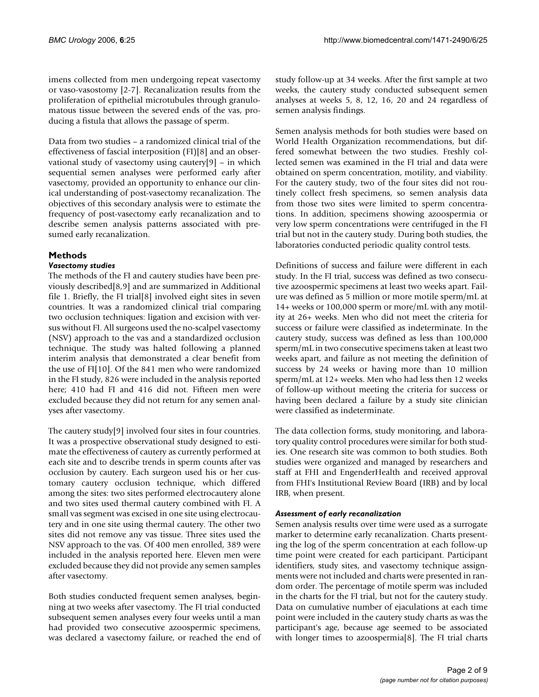imens collected from men undergoing repeat vasectomy or vaso-vasostomy [2-7]. Recanalization results from the proliferation of epithelial microtubules through granulomatous tissue between the severed ends of the vas, producing a fistula that allows the passage of sperm.

Data from two studies – a randomized clinical trial of the effectiveness of fascial interposition (FI)[8] and an observational study of vasectomy using cautery[9] – in which sequential semen analyses were performed early after vasectomy, provided an opportunity to enhance our clinical understanding of post-vasectomy recanalization. The objectives of this secondary analysis were to estimate the frequency of post-vasectomy early recanalization and to describe semen analysis patterns associated with presumed early recanalization.

# **Methods**

## *Vasectomy studies*

The methods of the FI and cautery studies have been previously described[8,9] and are summarized in Additional file 1. Briefly, the FI trial[8] involved eight sites in seven countries. It was a randomized clinical trial comparing two occlusion techniques: ligation and excision with versus without FI. All surgeons used the no-scalpel vasectomy (NSV) approach to the vas and a standardized occlusion technique. The study was halted following a planned interim analysis that demonstrated a clear benefit from the use of FI[10]. Of the 841 men who were randomized in the FI study, 826 were included in the analysis reported here; 410 had FI and 416 did not. Fifteen men were excluded because they did not return for any semen analyses after vasectomy.

The cautery study[9] involved four sites in four countries. It was a prospective observational study designed to estimate the effectiveness of cautery as currently performed at each site and to describe trends in sperm counts after vas occlusion by cautery. Each surgeon used his or her customary cautery occlusion technique, which differed among the sites: two sites performed electrocautery alone and two sites used thermal cautery combined with FI. A small vas segment was excised in one site using electrocautery and in one site using thermal cautery. The other two sites did not remove any vas tissue. Three sites used the NSV approach to the vas. Of 400 men enrolled, 389 were included in the analysis reported here. Eleven men were excluded because they did not provide any semen samples after vasectomy.

Both studies conducted frequent semen analyses, beginning at two weeks after vasectomy. The FI trial conducted subsequent semen analyses every four weeks until a man had provided two consecutive azoospermic specimens, was declared a vasectomy failure, or reached the end of study follow-up at 34 weeks. After the first sample at two weeks, the cautery study conducted subsequent semen analyses at weeks 5, 8, 12, 16, 20 and 24 regardless of semen analysis findings.

Semen analysis methods for both studies were based on World Health Organization recommendations, but differed somewhat between the two studies. Freshly collected semen was examined in the FI trial and data were obtained on sperm concentration, motility, and viability. For the cautery study, two of the four sites did not routinely collect fresh specimens, so semen analysis data from those two sites were limited to sperm concentrations. In addition, specimens showing azoospermia or very low sperm concentrations were centrifuged in the FI trial but not in the cautery study. During both studies, the laboratories conducted periodic quality control tests.

Definitions of success and failure were different in each study. In the FI trial, success was defined as two consecutive azoospermic specimens at least two weeks apart. Failure was defined as 5 million or more motile sperm/mL at 14+ weeks or 100,000 sperm or more/mL with any motility at 26+ weeks. Men who did not meet the criteria for success or failure were classified as indeterminate. In the cautery study, success was defined as less than 100,000 sperm/mL in two consecutive specimens taken at least two weeks apart, and failure as not meeting the definition of success by 24 weeks or having more than 10 million sperm/mL at 12+ weeks. Men who had less then 12 weeks of follow-up without meeting the criteria for success or having been declared a failure by a study site clinician were classified as indeterminate.

The data collection forms, study monitoring, and laboratory quality control procedures were similar for both studies. One research site was common to both studies. Both studies were organized and managed by researchers and staff at FHI and EngenderHealth and received approval from FHI's Institutional Review Board (IRB) and by local IRB, when present.

# *Assessment of early recanalization*

Semen analysis results over time were used as a surrogate marker to determine early recanalization. Charts presenting the log of the sperm concentration at each follow-up time point were created for each participant. Participant identifiers, study sites, and vasectomy technique assignments were not included and charts were presented in random order. The percentage of motile sperm was included in the charts for the FI trial, but not for the cautery study. Data on cumulative number of ejaculations at each time point were included in the cautery study charts as was the participant's age, because age seemed to be associated with longer times to azoospermia[8]. The FI trial charts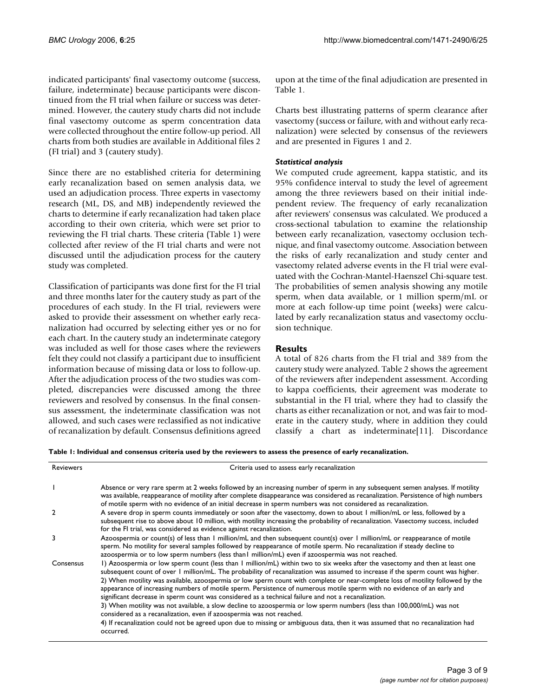indicated participants' final vasectomy outcome (success, failure, indeterminate) because participants were discontinued from the FI trial when failure or success was determined. However, the cautery study charts did not include final vasectomy outcome as sperm concentration data were collected throughout the entire follow-up period. All charts from both studies are available in Additional files 2 (FI trial) and 3 (cautery study).

Since there are no established criteria for determining early recanalization based on semen analysis data, we used an adjudication process. Three experts in vasectomy research (ML, DS, and MB) independently reviewed the charts to determine if early recanalization had taken place according to their own criteria, which were set prior to reviewing the FI trial charts. These criteria (Table 1) were collected after review of the FI trial charts and were not discussed until the adjudication process for the cautery study was completed.

Classification of participants was done first for the FI trial and three months later for the cautery study as part of the procedures of each study. In the FI trial, reviewers were asked to provide their assessment on whether early recanalization had occurred by selecting either yes or no for each chart. In the cautery study an indeterminate category was included as well for those cases where the reviewers felt they could not classify a participant due to insufficient information because of missing data or loss to follow-up. After the adjudication process of the two studies was completed, discrepancies were discussed among the three reviewers and resolved by consensus. In the final consensus assessment, the indeterminate classification was not allowed, and such cases were reclassified as not indicative of recanalization by default. Consensus definitions agreed upon at the time of the final adjudication are presented in Table 1.

Charts best illustrating patterns of sperm clearance after vasectomy (success or failure, with and without early recanalization) were selected by consensus of the reviewers and are presented in Figures 1 and 2.

### *Statistical analysis*

We computed crude agreement, kappa statistic, and its 95% confidence interval to study the level of agreement among the three reviewers based on their initial independent review. The frequency of early recanalization after reviewers' consensus was calculated. We produced a cross-sectional tabulation to examine the relationship between early recanalization, vasectomy occlusion technique, and final vasectomy outcome. Association between the risks of early recanalization and study center and vasectomy related adverse events in the FI trial were evaluated with the Cochran-Mantel-Haenszel Chi-square test. The probabilities of semen analysis showing any motile sperm, when data available, or 1 million sperm/mL or more at each follow-up time point (weeks) were calculated by early recanalization status and vasectomy occlusion technique.

### **Results**

A total of 826 charts from the FI trial and 389 from the cautery study were analyzed. Table 2 shows the agreement of the reviewers after independent assessment. According to kappa coefficients, their agreement was moderate to substantial in the FI trial, where they had to classify the charts as either recanalization or not, and was fair to moderate in the cautery study, where in addition they could classify a chart as indeterminate[11]. Discordance

**Table 1: Individual and consensus criteria used by the reviewers to assess the presence of early recanalization.**

| <b>Reviewers</b> | Criteria used to assess early recanalization                                                                                                                                                                                                                                                                                                                                                                                                                                                                                                                                                                                                                                                                                                                                                                                                                                                                                                                                        |
|------------------|-------------------------------------------------------------------------------------------------------------------------------------------------------------------------------------------------------------------------------------------------------------------------------------------------------------------------------------------------------------------------------------------------------------------------------------------------------------------------------------------------------------------------------------------------------------------------------------------------------------------------------------------------------------------------------------------------------------------------------------------------------------------------------------------------------------------------------------------------------------------------------------------------------------------------------------------------------------------------------------|
|                  | Absence or very rare sperm at 2 weeks followed by an increasing number of sperm in any subsequent semen analyses. If motility<br>was available, reappearance of motility after complete disappearance was considered as recanalization. Persistence of high numbers<br>of motile sperm with no evidence of an initial decrease in sperm numbers was not considered as recanalization.                                                                                                                                                                                                                                                                                                                                                                                                                                                                                                                                                                                               |
| $\mathcal{L}$    | A severe drop in sperm counts immediately or soon after the vasectomy, down to about I million/mL or less, followed by a<br>subsequent rise to above about 10 million, with motility increasing the probability of recanalization. Vasectomy success, included<br>for the FI trial, was considered as evidence against recanalization.                                                                                                                                                                                                                                                                                                                                                                                                                                                                                                                                                                                                                                              |
|                  | Azoospermia or count(s) of less than 1 million/mL and then subsequent count(s) over 1 million/mL or reappearance of motile<br>sperm. No motility for several samples followed by reappearance of motile sperm. No recanalization if steady decline to<br>azoospermia or to low sperm numbers (less than I million/mL) even if azoospermia was not reached.                                                                                                                                                                                                                                                                                                                                                                                                                                                                                                                                                                                                                          |
| Consensus        | I) Azoospermia or low sperm count (less than I million/mL) within two to six weeks after the vasectomy and then at least one<br>subsequent count of over 1 million/mL. The probability of recanalization was assumed to increase if the sperm count was higher.<br>2) When motility was available, azoospermia or low sperm count with complete or near-complete loss of motility followed by the<br>appearance of increasing numbers of motile sperm. Persistence of numerous motile sperm with no evidence of an early and<br>significant decrease in sperm count was considered as a technical failure and not a recanalization.<br>3) When motility was not available, a slow decline to azoospermia or low sperm numbers (less than 100,000/mL) was not<br>considered as a recanalization, even if azoospermia was not reached.<br>4) If recanalization could not be agreed upon due to missing or ambiguous data, then it was assumed that no recanalization had<br>occurred. |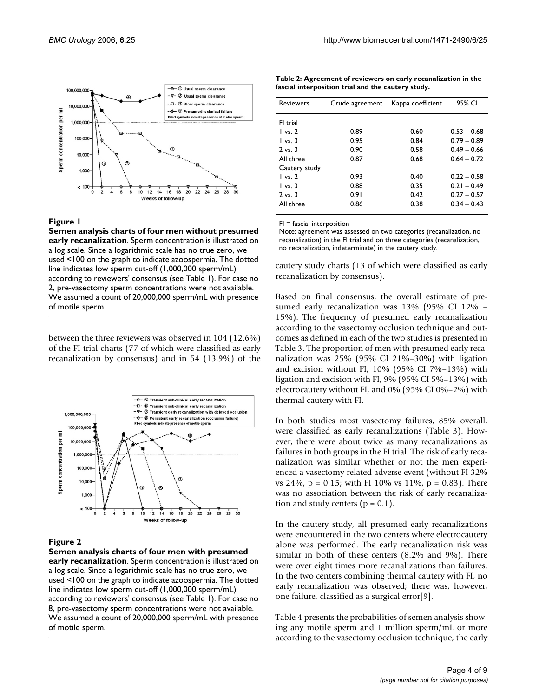

#### Figure 1

**Semen analysis charts of four men without presumed early recanalization**. Sperm concentration is illustrated on a log scale. Since a logarithmic scale has no true zero, we used <100 on the graph to indicate azoospermia. The dotted line indicates low sperm cut-off (1,000,000 sperm/mL) according to reviewers' consensus (see Table 1). For case no 2, pre-vasectomy sperm concentrations were not available. We assumed a count of 20,000,000 sperm/mL with presence of motile sperm.

between the three reviewers was observed in 104 (12.6%) of the FI trial charts (77 of which were classified as early recanalization by consensus) and in 54 (13.9%) of the



#### **Figure 2**

**Semen analysis charts of four men with presumed early recanalization**. Sperm concentration is illustrated on a log scale. Since a logarithmic scale has no true zero, we used <100 on the graph to indicate azoospermia. The dotted line indicates low sperm cut-off (1,000,000 sperm/mL) according to reviewers' consensus (see Table 1). For case no 8, pre-vasectomy sperm concentrations were not available. We assumed a count of 20,000,000 sperm/mL with presence of motile sperm.

**Table 2: Agreement of reviewers on early recanalization in the fascial interposition trial and the cautery study.**

| <b>Reviewers</b>   | Crude agreement | Kappa coefficient | 95% CI        |  |
|--------------------|-----------------|-------------------|---------------|--|
| FI trial           |                 |                   |               |  |
| 1 vs. 2            | 0.89            | 0.60              | $0.53 - 0.68$ |  |
| $1 \text{ vs. } 3$ | 0.95            | 0.84              | $0.79 - 0.89$ |  |
| $2$ vs. $3$        | 0.90            | 0.58              | $0.49 - 0.66$ |  |
| All three          | 0.87            | 0.68              | $0.64 - 0.72$ |  |
| Cautery study      |                 |                   |               |  |
| 1 vs. 2            | 0.93            | 0.40              | $0.22 - 0.58$ |  |
| $1 \text{ vs. } 3$ | 0.88            | 0.35              | $0.21 - 0.49$ |  |
| $2$ vs. $3$        | 0.91            | 0.42              | $0.27 - 0.57$ |  |
| All three          | 0.86            | 0.38              | $0.34 - 0.43$ |  |

FI = fascial interposition

Note: agreement was assessed on two categories (recanalization, no recanalization) in the FI trial and on three categories (recanalization, no recanalization, indeterminate) in the cautery study.

cautery study charts (13 of which were classified as early recanalization by consensus).

Based on final consensus, the overall estimate of presumed early recanalization was 13% (95% CI 12% – 15%). The frequency of presumed early recanalization according to the vasectomy occlusion technique and outcomes as defined in each of the two studies is presented in Table 3. The proportion of men with presumed early recanalization was 25% (95% CI 21%–30%) with ligation and excision without FI, 10% (95% CI 7%–13%) with ligation and excision with FI, 9% (95% CI 5%–13%) with electrocautery without FI, and 0% (95% CI 0%–2%) with thermal cautery with FI.

In both studies most vasectomy failures, 85% overall, were classified as early recanalizations (Table 3). However, there were about twice as many recanalizations as failures in both groups in the FI trial. The risk of early recanalization was similar whether or not the men experienced a vasectomy related adverse event (without FI 32% vs 24%,  $p = 0.15$ ; with FI 10% vs 11%,  $p = 0.83$ ). There was no association between the risk of early recanalization and study centers  $(p = 0.1)$ .

In the cautery study, all presumed early recanalizations were encountered in the two centers where electrocautery alone was performed. The early recanalization risk was similar in both of these centers (8.2% and 9%). There were over eight times more recanalizations than failures. In the two centers combining thermal cautery with FI, no early recanalization was observed; there was, however, one failure, classified as a surgical error[9].

Table 4 presents the probabilities of semen analysis showing any motile sperm and 1 million sperm/mL or more according to the vasectomy occlusion technique, the early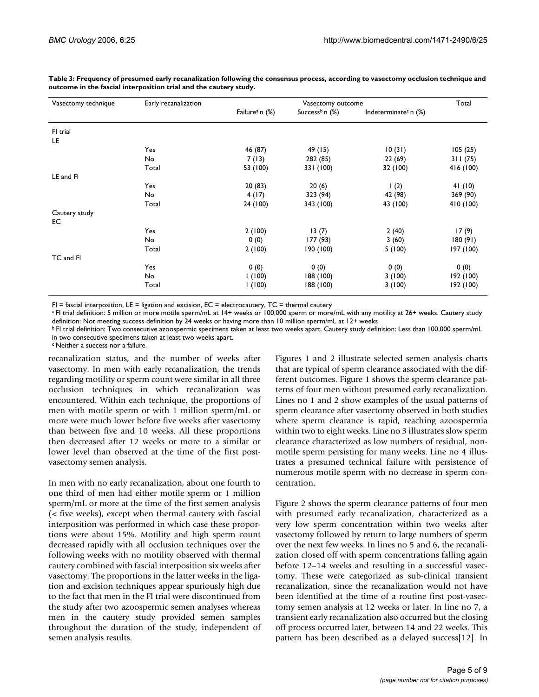| Vasectomy technique | Early recanalization |                            | Total                      |                                     |           |
|---------------------|----------------------|----------------------------|----------------------------|-------------------------------------|-----------|
|                     |                      | Failure <sup>a</sup> n (%) | Success <sup>b</sup> n (%) | Indeterminate <sup>c</sup> n $(\%)$ |           |
| FI trial            |                      |                            |                            |                                     |           |
| LE                  |                      |                            |                            |                                     |           |
|                     | Yes                  | 46 (87)                    | 49 (15)                    | 10(31)                              | 105(25)   |
|                     | No                   | 7(13)                      | 282 (85)                   | 22(69)                              | 311(75)   |
|                     | Total                | 53 (100)                   | 331 (100)                  | 32 (100)                            | 416 (100) |
| LE and FI           |                      |                            |                            |                                     |           |
|                     | Yes                  | 20(83)                     | 20(6)                      | 1(2)                                | 41(10)    |
|                     | No                   | 4(17)                      | 323 (94)                   | 42 (98)                             | 369 (90)  |
|                     | Total                | 24 (100)                   | 343 (100)                  | 43 (100)                            | 410 (100) |
| Cautery study       |                      |                            |                            |                                     |           |
| EC                  |                      |                            |                            |                                     |           |
|                     | Yes                  | 2(100)                     | 13(7)                      | 2(40)                               | 17(9)     |
|                     | No                   | 0(0)                       | 177 (93)                   | 3(60)                               | 180(91)   |
|                     | Total                | 2(100)                     | 190 (100)                  | 5(100)                              | 197 (100) |
| TC and FI           |                      |                            |                            |                                     |           |
|                     | Yes                  | 0(0)                       | 0(0)                       | 0(0)                                | 0(0)      |
|                     | No                   | 1(100)                     | 188 (100)                  | 3(100)                              | 192 (100) |
|                     | Total                | 1(100)                     | 188 (100)                  | 3(100)                              | 192 (100) |

**Table 3: Frequency of presumed early recanalization following the consensus process, according to vasectomy occlusion technique and outcome in the fascial interposition trial and the cautery study.**

 $FI$  = fascial interposition, LE = ligation and excision, EC = electrocautery, TC = thermal cautery

a FI trial definition: 5 million or more motile sperm/mL at 14+ weeks or 100,000 sperm or more/mL with any motility at 26+ weeks. Cautery study definition: Not meeting success definition by 24 weeks or having more than 10 million sperm/mL at 12+ weeks

<sup>b</sup> FI trial definition: Two consecutive azoospermic specimens taken at least two weeks apart. Cautery study definition: Less than 100,000 sperm/mL in two consecutive specimens taken at least two weeks apart.

c Neither a success nor a failure.

recanalization status, and the number of weeks after vasectomy. In men with early recanalization, the trends regarding motility or sperm count were similar in all three occlusion techniques in which recanalization was encountered. Within each technique, the proportions of men with motile sperm or with 1 million sperm/mL or more were much lower before five weeks after vasectomy than between five and 10 weeks. All these proportions then decreased after 12 weeks or more to a similar or lower level than observed at the time of the first postvasectomy semen analysis.

In men with no early recanalization, about one fourth to one third of men had either motile sperm or 1 million sperm/mL or more at the time of the first semen analysis (< five weeks), except when thermal cautery with fascial interposition was performed in which case these proportions were about 15%. Motility and high sperm count decreased rapidly with all occlusion techniques over the following weeks with no motility observed with thermal cautery combined with fascial interposition six weeks after vasectomy. The proportions in the latter weeks in the ligation and excision techniques appear spuriously high due to the fact that men in the FI trial were discontinued from the study after two azoospermic semen analyses whereas men in the cautery study provided semen samples throughout the duration of the study, independent of semen analysis results.

Figures 1 and 2 illustrate selected semen analysis charts that are typical of sperm clearance associated with the different outcomes. Figure 1 shows the sperm clearance patterns of four men without presumed early recanalization. Lines no 1 and 2 show examples of the usual patterns of sperm clearance after vasectomy observed in both studies where sperm clearance is rapid, reaching azoospermia within two to eight weeks. Line no 3 illustrates slow sperm clearance characterized as low numbers of residual, nonmotile sperm persisting for many weeks. Line no 4 illustrates a presumed technical failure with persistence of numerous motile sperm with no decrease in sperm concentration.

Figure 2 shows the sperm clearance patterns of four men with presumed early recanalization, characterized as a very low sperm concentration within two weeks after vasectomy followed by return to large numbers of sperm over the next few weeks. In lines no 5 and 6, the recanalization closed off with sperm concentrations falling again before 12–14 weeks and resulting in a successful vasectomy. These were categorized as sub-clinical transient recanalization, since the recanalization would not have been identified at the time of a routine first post-vasectomy semen analysis at 12 weeks or later. In line no 7, a transient early recanalization also occurred but the closing off process occurred later, between 14 and 22 weeks. This pattern has been described as a delayed success[12]. In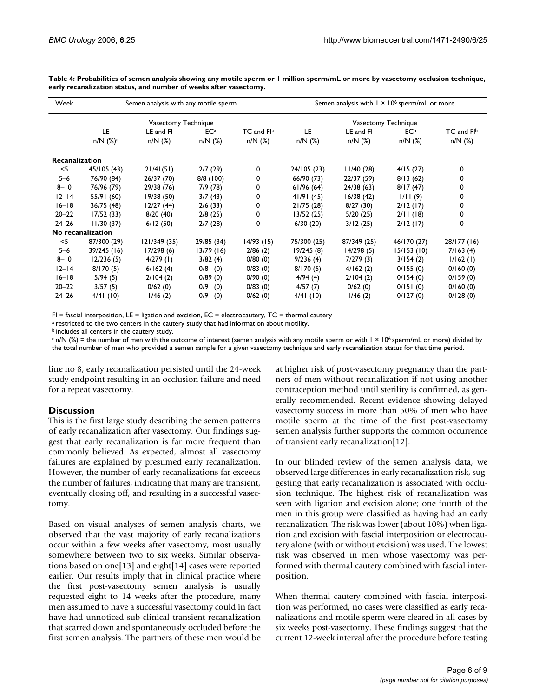|                       |                     |              |                 | Semen analysis with any motile sperm |                     |             |                        | Semen analysis with $1 \times 10^6$ sperm/mL or more |  |  |  |
|-----------------------|---------------------|--------------|-----------------|--------------------------------------|---------------------|-------------|------------------------|------------------------------------------------------|--|--|--|
|                       | Vasectomy Technique |              |                 |                                      | Vasectomy Technique |             |                        |                                                      |  |  |  |
|                       | LE                  | LE and FI    | EC <sup>a</sup> | TC and Fla                           | LE                  | LE and FI   | <b>EC</b> <sup>b</sup> | TC and F <sub>Ib</sub>                               |  |  |  |
|                       | $n/N$ $(\%)^c$      | $n/N$ (%)    | $n/N$ (%)       | $n/N$ (%)                            | $n/N$ (%)           | n/N (%)     | $n/N$ (%)              | $n/N$ (%)                                            |  |  |  |
| <b>Recanalization</b> |                     |              |                 |                                      |                     |             |                        |                                                      |  |  |  |
| <5                    | 45/105 (43)         | 21/41(51)    | 2/7(29)         | 0                                    | 24/105 (23)         | 11/40(28)   | 4/15(27)               | 0                                                    |  |  |  |
| $5 - 6$               | 76/90 (84)          | 26/37 (70)   | 8/8 (100)       | 0                                    | 66/90 (73)          | 22/37 (59)  | 8/13(62)               | 0                                                    |  |  |  |
| $8 - 10$              | 76/96 (79)          | 29/38 (76)   | 7/9 (78)        | 0                                    | 61/96(64)           | 24/38(63)   | 8/17(47)               | 0                                                    |  |  |  |
| $12 - 14$             | 55/91 (60)          | 19/38 (50)   | 3/7(43)         | 0                                    | 41/91(45)           | 16/38(42)   | 1/11(9)                | 0                                                    |  |  |  |
| $16 - 18$             | 36/75 (48)          | 12/27(44)    | 2/6(33)         | 0                                    | 21/75(28)           | 8/27(30)    | 2/12(17)               | 0                                                    |  |  |  |
| $20 - 22$             | 17/52(33)           | 8/20(40)     | 2/8(25)         | 0                                    | 13/52 (25)          | 5/20(25)    | 2/11(18)               | 0                                                    |  |  |  |
| $24 - 26$             | 11/30(37)           | 6/12(50)     | 2/7(28)         | 0                                    | 6/30(20)            | 3/12(25)    | 2/12(17)               | 0                                                    |  |  |  |
| No recanalization     |                     |              |                 |                                      |                     |             |                        |                                                      |  |  |  |
| <5                    | 87/300 (29)         | 121/349 (35) | 29/85 (34)      | 14/93 (15)                           | 75/300 (25)         | 87/349 (25) | 46/170 (27)            | 28/177 (16)                                          |  |  |  |
| $5 - 6$               | 39/245 (16)         | 17/298(6)    | 13/79(16)       | 2/86(2)                              | 19/245(8)           | 14/298(5)   | 15/153(10)             | 7/163(4)                                             |  |  |  |
| $8 - 10$              | 12/236(5)           | $4/279$ (1)  | 3/82(4)         | 0/80(0)                              | 9/236(4)            | 7/279(3)    | 3/154(2)               | 1/162(1)                                             |  |  |  |
| $12-14$               | 8/170(5)            | 6/162(4)     | 0/81(0)         | 0/83(0)                              | 8/170(5)            | 4/162(2)    | 0/155(0)               | 0/160(0)                                             |  |  |  |
| $16 - 18$             | 5/94(5)             | 2/104(2)     | 0/89(0)         | 0/90(0)                              | 4/94(4)             | 2/104(2)    | 0/154(0)               | 0/159(0)                                             |  |  |  |
| $20 - 22$             | 3/57(5)             | 0/62(0)      | 0/91(0)         | 0/83(0)                              | 4/57(7)             | 0/62(0)     | 0/151(0)               | 0/160(0)                                             |  |  |  |
| $24 - 26$             | $4/4$ (10)          | 1/46(2)      | 0/91(0)         | 0/62(0)                              | 4/41(10)            | 1/46(2)     | 0/127(0)               | 0/128(0)                                             |  |  |  |

**Table 4: Probabilities of semen analysis showing any motile sperm or 1 million sperm/mL or more by vasectomy occlusion technique, early recanalization status, and number of weeks after vasectomy.**

 $FI =$  fascial interposition, LE = ligation and excision, EC = electrocautery, TC = thermal cautery

a restricted to the two centers in the cautery study that had information about motility.

b includes all centers in the cautery study.

 $c$  n/N (%) = the number of men with the outcome of interest (semen analysis with any motile sperm or with  $1 \times 10^6$  sperm/mL or more) divided by the total number of men who provided a semen sample for a given vasectomy technique and early recanalization status for that time period.

line no 8, early recanalization persisted until the 24-week study endpoint resulting in an occlusion failure and need for a repeat vasectomy.

### **Discussion**

This is the first large study describing the semen patterns of early recanalization after vasectomy. Our findings suggest that early recanalization is far more frequent than commonly believed. As expected, almost all vasectomy failures are explained by presumed early recanalization. However, the number of early recanalizations far exceeds the number of failures, indicating that many are transient, eventually closing off, and resulting in a successful vasectomy.

Based on visual analyses of semen analysis charts, we observed that the vast majority of early recanalizations occur within a few weeks after vasectomy, most usually somewhere between two to six weeks. Similar observations based on one[13] and eight[14] cases were reported earlier. Our results imply that in clinical practice where the first post-vasectomy semen analysis is usually requested eight to 14 weeks after the procedure, many men assumed to have a successful vasectomy could in fact have had unnoticed sub-clinical transient recanalization that scarred down and spontaneously occluded before the first semen analysis. The partners of these men would be at higher risk of post-vasectomy pregnancy than the partners of men without recanalization if not using another contraception method until sterility is confirmed, as generally recommended. Recent evidence showing delayed vasectomy success in more than 50% of men who have motile sperm at the time of the first post-vasectomy semen analysis further supports the common occurrence of transient early recanalization[12].

In our blinded review of the semen analysis data, we observed large differences in early recanalization risk, suggesting that early recanalization is associated with occlusion technique. The highest risk of recanalization was seen with ligation and excision alone; one fourth of the men in this group were classified as having had an early recanalization. The risk was lower (about 10%) when ligation and excision with fascial interposition or electrocautery alone (with or without excision) was used. The lowest risk was observed in men whose vasectomy was performed with thermal cautery combined with fascial interposition.

When thermal cautery combined with fascial interposition was performed, no cases were classified as early recanalizations and motile sperm were cleared in all cases by six weeks post-vasectomy. These findings suggest that the current 12-week interval after the procedure before testing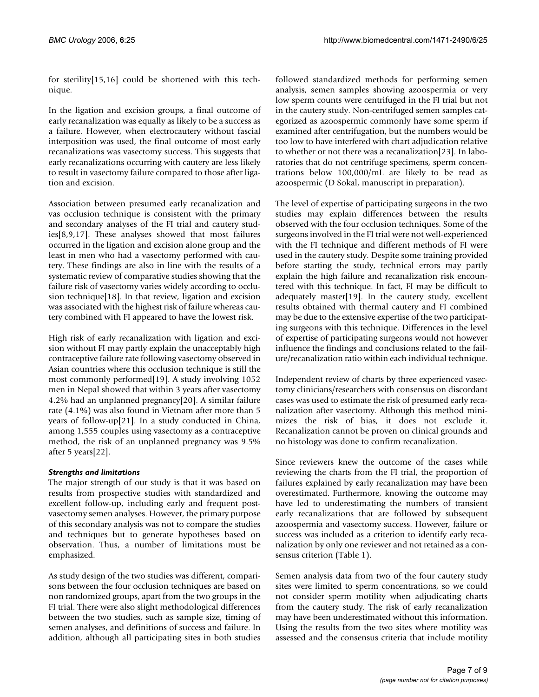for sterility[15,16] could be shortened with this technique.

In the ligation and excision groups, a final outcome of early recanalization was equally as likely to be a success as a failure. However, when electrocautery without fascial interposition was used, the final outcome of most early recanalizations was vasectomy success. This suggests that early recanalizations occurring with cautery are less likely to result in vasectomy failure compared to those after ligation and excision.

Association between presumed early recanalization and vas occlusion technique is consistent with the primary and secondary analyses of the FI trial and cautery studies[8,9,17]. These analyses showed that most failures occurred in the ligation and excision alone group and the least in men who had a vasectomy performed with cautery. These findings are also in line with the results of a systematic review of comparative studies showing that the failure risk of vasectomy varies widely according to occlusion technique[18]. In that review, ligation and excision was associated with the highest risk of failure whereas cautery combined with FI appeared to have the lowest risk.

High risk of early recanalization with ligation and excision without FI may partly explain the unacceptably high contraceptive failure rate following vasectomy observed in Asian countries where this occlusion technique is still the most commonly performed[19]. A study involving 1052 men in Nepal showed that within 3 years after vasectomy 4.2% had an unplanned pregnancy[20]. A similar failure rate (4.1%) was also found in Vietnam after more than 5 years of follow-up[21]. In a study conducted in China, among 1,555 couples using vasectomy as a contraceptive method, the risk of an unplanned pregnancy was 9.5% after 5 years[22].

### *Strengths and limitations*

The major strength of our study is that it was based on results from prospective studies with standardized and excellent follow-up, including early and frequent postvasectomy semen analyses. However, the primary purpose of this secondary analysis was not to compare the studies and techniques but to generate hypotheses based on observation. Thus, a number of limitations must be emphasized.

As study design of the two studies was different, comparisons between the four occlusion techniques are based on non randomized groups, apart from the two groups in the FI trial. There were also slight methodological differences between the two studies, such as sample size, timing of semen analyses, and definitions of success and failure. In addition, although all participating sites in both studies followed standardized methods for performing semen analysis, semen samples showing azoospermia or very low sperm counts were centrifuged in the FI trial but not in the cautery study. Non-centrifuged semen samples categorized as azoospermic commonly have some sperm if examined after centrifugation, but the numbers would be too low to have interfered with chart adjudication relative to whether or not there was a recanalization[23]. In laboratories that do not centrifuge specimens, sperm concentrations below 100,000/mL are likely to be read as azoospermic (D Sokal, manuscript in preparation).

The level of expertise of participating surgeons in the two studies may explain differences between the results observed with the four occlusion techniques. Some of the surgeons involved in the FI trial were not well-experienced with the FI technique and different methods of FI were used in the cautery study. Despite some training provided before starting the study, technical errors may partly explain the high failure and recanalization risk encountered with this technique. In fact, FI may be difficult to adequately master[19]. In the cautery study, excellent results obtained with thermal cautery and FI combined may be due to the extensive expertise of the two participating surgeons with this technique. Differences in the level of expertise of participating surgeons would not however influence the findings and conclusions related to the failure/recanalization ratio within each individual technique.

Independent review of charts by three experienced vasectomy clinicians/researchers with consensus on discordant cases was used to estimate the risk of presumed early recanalization after vasectomy. Although this method minimizes the risk of bias, it does not exclude it. Recanalization cannot be proven on clinical grounds and no histology was done to confirm recanalization.

Since reviewers knew the outcome of the cases while reviewing the charts from the FI trial, the proportion of failures explained by early recanalization may have been overestimated. Furthermore, knowing the outcome may have led to underestimating the numbers of transient early recanalizations that are followed by subsequent azoospermia and vasectomy success. However, failure or success was included as a criterion to identify early recanalization by only one reviewer and not retained as a consensus criterion (Table 1).

Semen analysis data from two of the four cautery study sites were limited to sperm concentrations, so we could not consider sperm motility when adjudicating charts from the cautery study. The risk of early recanalization may have been underestimated without this information. Using the results from the two sites where motility was assessed and the consensus criteria that include motility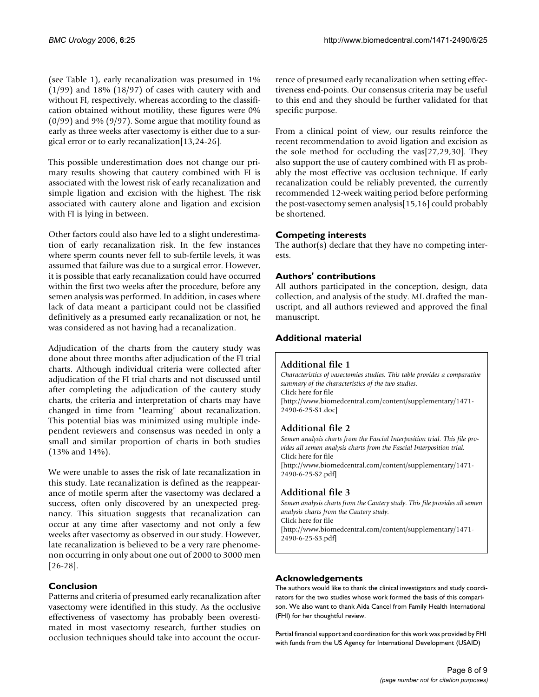(see Table 1), early recanalization was presumed in 1%  $(1/99)$  and  $18\%$   $(18/97)$  of cases with cautery with and without FI, respectively, whereas according to the classification obtained without motility, these figures were 0% (0/99) and 9% (9/97). Some argue that motility found as early as three weeks after vasectomy is either due to a surgical error or to early recanalization[13,24-26].

This possible underestimation does not change our primary results showing that cautery combined with FI is associated with the lowest risk of early recanalization and simple ligation and excision with the highest. The risk associated with cautery alone and ligation and excision with FI is lying in between.

Other factors could also have led to a slight underestimation of early recanalization risk. In the few instances where sperm counts never fell to sub-fertile levels, it was assumed that failure was due to a surgical error. However, it is possible that early recanalization could have occurred within the first two weeks after the procedure, before any semen analysis was performed. In addition, in cases where lack of data meant a participant could not be classified definitively as a presumed early recanalization or not, he was considered as not having had a recanalization.

Adjudication of the charts from the cautery study was done about three months after adjudication of the FI trial charts. Although individual criteria were collected after adjudication of the FI trial charts and not discussed until after completing the adjudication of the cautery study charts, the criteria and interpretation of charts may have changed in time from "learning" about recanalization. This potential bias was minimized using multiple independent reviewers and consensus was needed in only a small and similar proportion of charts in both studies (13% and 14%).

We were unable to asses the risk of late recanalization in this study. Late recanalization is defined as the reappearance of motile sperm after the vasectomy was declared a success, often only discovered by an unexpected pregnancy. This situation suggests that recanalization can occur at any time after vasectomy and not only a few weeks after vasectomy as observed in our study. However, late recanalization is believed to be a very rare phenomenon occurring in only about one out of 2000 to 3000 men [26-28].

# **Conclusion**

Patterns and criteria of presumed early recanalization after vasectomy were identified in this study. As the occlusive effectiveness of vasectomy has probably been overestimated in most vasectomy research, further studies on occlusion techniques should take into account the occurrence of presumed early recanalization when setting effectiveness end-points. Our consensus criteria may be useful to this end and they should be further validated for that specific purpose.

From a clinical point of view, our results reinforce the recent recommendation to avoid ligation and excision as the sole method for occluding the vas[27,29,30]. They also support the use of cautery combined with FI as probably the most effective vas occlusion technique. If early recanalization could be reliably prevented, the currently recommended 12-week waiting period before performing the post-vasectomy semen analysis[15,16] could probably be shortened.

# **Competing interests**

The author(s) declare that they have no competing interests.

# **Authors' contributions**

All authors participated in the conception, design, data collection, and analysis of the study. ML drafted the manuscript, and all authors reviewed and approved the final manuscript.

# **Additional material**

# **Additional file 1**

*Characteristics of vasectomies studies. This table provides a comparative summary of the characteristics of the two studies.* Click here for file

[\[http://www.biomedcentral.com/content/supplementary/1471-](http://www.biomedcentral.com/content/supplementary/1471-2490-6-25-S1.doc) 2490-6-25-S1.doc]

# **Additional file 2**

*Semen analysis charts from the Fascial Interposition trial. This file provides all semen analysis charts from the Fascial Interposition trial.* Click here for file [\[http://www.biomedcentral.com/content/supplementary/1471-](http://www.biomedcentral.com/content/supplementary/1471-2490-6-25-S2.pdf) 2490-6-25-S2.pdf]

# **Additional file 3**

*Semen analysis charts from the Cautery study. This file provides all semen analysis charts from the Cautery study.* Click here for file [\[http://www.biomedcentral.com/content/supplementary/1471-](http://www.biomedcentral.com/content/supplementary/1471-2490-6-25-S3.pdf) 2490-6-25-S3.pdf]

# **Acknowledgements**

The authors would like to thank the clinical investigators and study coordinators for the two studies whose work formed the basis of this comparison. We also want to thank Aida Cancel from Family Health International (FHI) for her thoughtful review.

Partial financial support and coordination for this work was provided by FHI with funds from the US Agency for International Development (USAID)